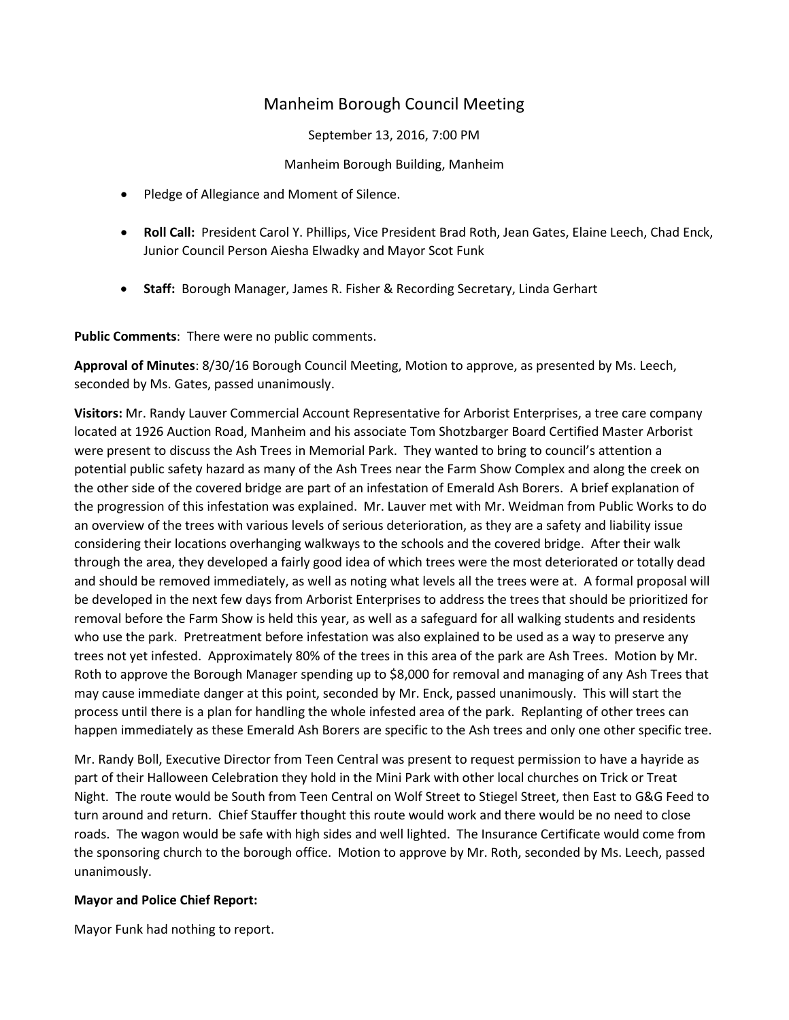# Manheim Borough Council Meeting

September 13, 2016, 7:00 PM

Manheim Borough Building, Manheim

- Pledge of Allegiance and Moment of Silence.
- **Roll Call:** President Carol Y. Phillips, Vice President Brad Roth, Jean Gates, Elaine Leech, Chad Enck, Junior Council Person Aiesha Elwadky and Mayor Scot Funk
- **Staff:** Borough Manager, James R. Fisher & Recording Secretary, Linda Gerhart

**Public Comments**: There were no public comments.

**Approval of Minutes**: 8/30/16 Borough Council Meeting, Motion to approve, as presented by Ms. Leech, seconded by Ms. Gates, passed unanimously.

**Visitors:** Mr. Randy Lauver Commercial Account Representative for Arborist Enterprises, a tree care company located at 1926 Auction Road, Manheim and his associate Tom Shotzbarger Board Certified Master Arborist were present to discuss the Ash Trees in Memorial Park. They wanted to bring to council's attention a potential public safety hazard as many of the Ash Trees near the Farm Show Complex and along the creek on the other side of the covered bridge are part of an infestation of Emerald Ash Borers. A brief explanation of the progression of this infestation was explained. Mr. Lauver met with Mr. Weidman from Public Works to do an overview of the trees with various levels of serious deterioration, as they are a safety and liability issue considering their locations overhanging walkways to the schools and the covered bridge. After their walk through the area, they developed a fairly good idea of which trees were the most deteriorated or totally dead and should be removed immediately, as well as noting what levels all the trees were at. A formal proposal will be developed in the next few days from Arborist Enterprises to address the trees that should be prioritized for removal before the Farm Show is held this year, as well as a safeguard for all walking students and residents who use the park. Pretreatment before infestation was also explained to be used as a way to preserve any trees not yet infested. Approximately 80% of the trees in this area of the park are Ash Trees. Motion by Mr. Roth to approve the Borough Manager spending up to \$8,000 for removal and managing of any Ash Trees that may cause immediate danger at this point, seconded by Mr. Enck, passed unanimously. This will start the process until there is a plan for handling the whole infested area of the park. Replanting of other trees can happen immediately as these Emerald Ash Borers are specific to the Ash trees and only one other specific tree.

Mr. Randy Boll, Executive Director from Teen Central was present to request permission to have a hayride as part of their Halloween Celebration they hold in the Mini Park with other local churches on Trick or Treat Night. The route would be South from Teen Central on Wolf Street to Stiegel Street, then East to G&G Feed to turn around and return. Chief Stauffer thought this route would work and there would be no need to close roads. The wagon would be safe with high sides and well lighted. The Insurance Certificate would come from the sponsoring church to the borough office. Motion to approve by Mr. Roth, seconded by Ms. Leech, passed unanimously.

# **Mayor and Police Chief Report:**

Mayor Funk had nothing to report.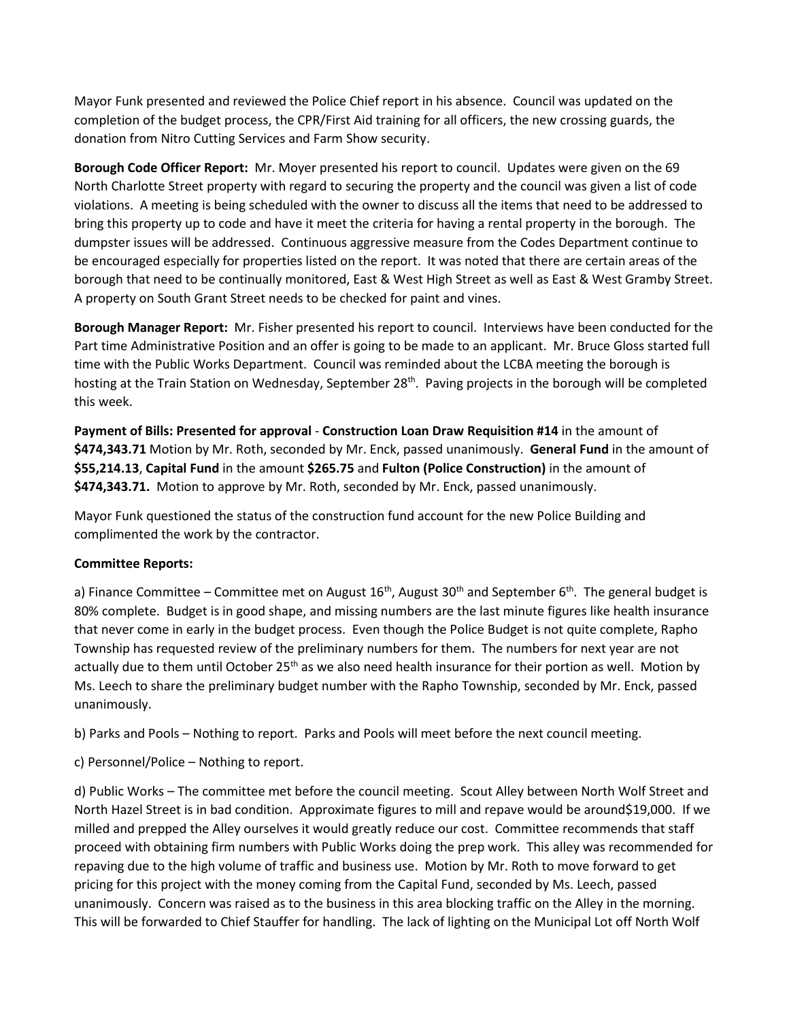Mayor Funk presented and reviewed the Police Chief report in his absence. Council was updated on the completion of the budget process, the CPR/First Aid training for all officers, the new crossing guards, the donation from Nitro Cutting Services and Farm Show security.

**Borough Code Officer Report:** Mr. Moyer presented his report to council. Updates were given on the 69 North Charlotte Street property with regard to securing the property and the council was given a list of code violations. A meeting is being scheduled with the owner to discuss all the items that need to be addressed to bring this property up to code and have it meet the criteria for having a rental property in the borough. The dumpster issues will be addressed. Continuous aggressive measure from the Codes Department continue to be encouraged especially for properties listed on the report. It was noted that there are certain areas of the borough that need to be continually monitored, East & West High Street as well as East & West Gramby Street. A property on South Grant Street needs to be checked for paint and vines.

**Borough Manager Report:** Mr. Fisher presented his report to council. Interviews have been conducted for the Part time Administrative Position and an offer is going to be made to an applicant. Mr. Bruce Gloss started full time with the Public Works Department. Council was reminded about the LCBA meeting the borough is hosting at the Train Station on Wednesday, September 28<sup>th</sup>. Paving projects in the borough will be completed this week.

**Payment of Bills: Presented for approval** - **Construction Loan Draw Requisition #14** in the amount of **\$474,343.71** Motion by Mr. Roth, seconded by Mr. Enck, passed unanimously. **General Fund** in the amount of **\$55,214.13**, **Capital Fund** in the amount **\$265.75** and **Fulton (Police Construction)** in the amount of **\$474,343.71.** Motion to approve by Mr. Roth, seconded by Mr. Enck, passed unanimously.

Mayor Funk questioned the status of the construction fund account for the new Police Building and complimented the work by the contractor.

### **Committee Reports:**

a) Finance Committee – Committee met on August  $16<sup>th</sup>$ , August  $30<sup>th</sup>$  and September  $6<sup>th</sup>$ . The general budget is 80% complete. Budget is in good shape, and missing numbers are the last minute figures like health insurance that never come in early in the budget process. Even though the Police Budget is not quite complete, Rapho Township has requested review of the preliminary numbers for them. The numbers for next year are not actually due to them until October 25<sup>th</sup> as we also need health insurance for their portion as well. Motion by Ms. Leech to share the preliminary budget number with the Rapho Township, seconded by Mr. Enck, passed unanimously.

b) Parks and Pools – Nothing to report. Parks and Pools will meet before the next council meeting.

c) Personnel/Police – Nothing to report.

d) Public Works – The committee met before the council meeting. Scout Alley between North Wolf Street and North Hazel Street is in bad condition. Approximate figures to mill and repave would be around\$19,000. If we milled and prepped the Alley ourselves it would greatly reduce our cost. Committee recommends that staff proceed with obtaining firm numbers with Public Works doing the prep work. This alley was recommended for repaving due to the high volume of traffic and business use. Motion by Mr. Roth to move forward to get pricing for this project with the money coming from the Capital Fund, seconded by Ms. Leech, passed unanimously. Concern was raised as to the business in this area blocking traffic on the Alley in the morning. This will be forwarded to Chief Stauffer for handling. The lack of lighting on the Municipal Lot off North Wolf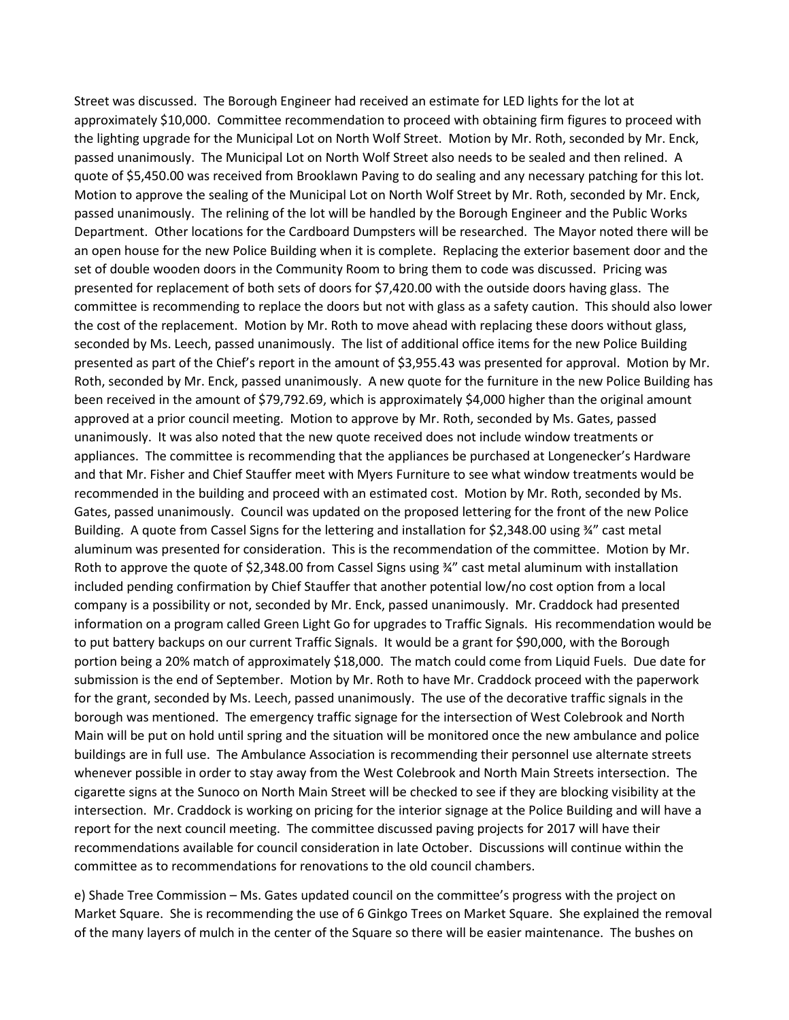Street was discussed. The Borough Engineer had received an estimate for LED lights for the lot at approximately \$10,000. Committee recommendation to proceed with obtaining firm figures to proceed with the lighting upgrade for the Municipal Lot on North Wolf Street. Motion by Mr. Roth, seconded by Mr. Enck, passed unanimously. The Municipal Lot on North Wolf Street also needs to be sealed and then relined. A quote of \$5,450.00 was received from Brooklawn Paving to do sealing and any necessary patching for this lot. Motion to approve the sealing of the Municipal Lot on North Wolf Street by Mr. Roth, seconded by Mr. Enck, passed unanimously. The relining of the lot will be handled by the Borough Engineer and the Public Works Department. Other locations for the Cardboard Dumpsters will be researched. The Mayor noted there will be an open house for the new Police Building when it is complete. Replacing the exterior basement door and the set of double wooden doors in the Community Room to bring them to code was discussed. Pricing was presented for replacement of both sets of doors for \$7,420.00 with the outside doors having glass. The committee is recommending to replace the doors but not with glass as a safety caution. This should also lower the cost of the replacement. Motion by Mr. Roth to move ahead with replacing these doors without glass, seconded by Ms. Leech, passed unanimously. The list of additional office items for the new Police Building presented as part of the Chief's report in the amount of \$3,955.43 was presented for approval. Motion by Mr. Roth, seconded by Mr. Enck, passed unanimously. A new quote for the furniture in the new Police Building has been received in the amount of \$79,792.69, which is approximately \$4,000 higher than the original amount approved at a prior council meeting. Motion to approve by Mr. Roth, seconded by Ms. Gates, passed unanimously. It was also noted that the new quote received does not include window treatments or appliances. The committee is recommending that the appliances be purchased at Longenecker's Hardware and that Mr. Fisher and Chief Stauffer meet with Myers Furniture to see what window treatments would be recommended in the building and proceed with an estimated cost. Motion by Mr. Roth, seconded by Ms. Gates, passed unanimously. Council was updated on the proposed lettering for the front of the new Police Building. A quote from Cassel Signs for the lettering and installation for \$2,348.00 using ¾" cast metal aluminum was presented for consideration. This is the recommendation of the committee. Motion by Mr. Roth to approve the quote of \$2,348.00 from Cassel Signs using ¾" cast metal aluminum with installation included pending confirmation by Chief Stauffer that another potential low/no cost option from a local company is a possibility or not, seconded by Mr. Enck, passed unanimously. Mr. Craddock had presented information on a program called Green Light Go for upgrades to Traffic Signals. His recommendation would be to put battery backups on our current Traffic Signals. It would be a grant for \$90,000, with the Borough portion being a 20% match of approximately \$18,000. The match could come from Liquid Fuels. Due date for submission is the end of September. Motion by Mr. Roth to have Mr. Craddock proceed with the paperwork for the grant, seconded by Ms. Leech, passed unanimously. The use of the decorative traffic signals in the borough was mentioned. The emergency traffic signage for the intersection of West Colebrook and North Main will be put on hold until spring and the situation will be monitored once the new ambulance and police buildings are in full use. The Ambulance Association is recommending their personnel use alternate streets whenever possible in order to stay away from the West Colebrook and North Main Streets intersection. The cigarette signs at the Sunoco on North Main Street will be checked to see if they are blocking visibility at the intersection. Mr. Craddock is working on pricing for the interior signage at the Police Building and will have a report for the next council meeting. The committee discussed paving projects for 2017 will have their recommendations available for council consideration in late October. Discussions will continue within the committee as to recommendations for renovations to the old council chambers.

e) Shade Tree Commission – Ms. Gates updated council on the committee's progress with the project on Market Square. She is recommending the use of 6 Ginkgo Trees on Market Square. She explained the removal of the many layers of mulch in the center of the Square so there will be easier maintenance. The bushes on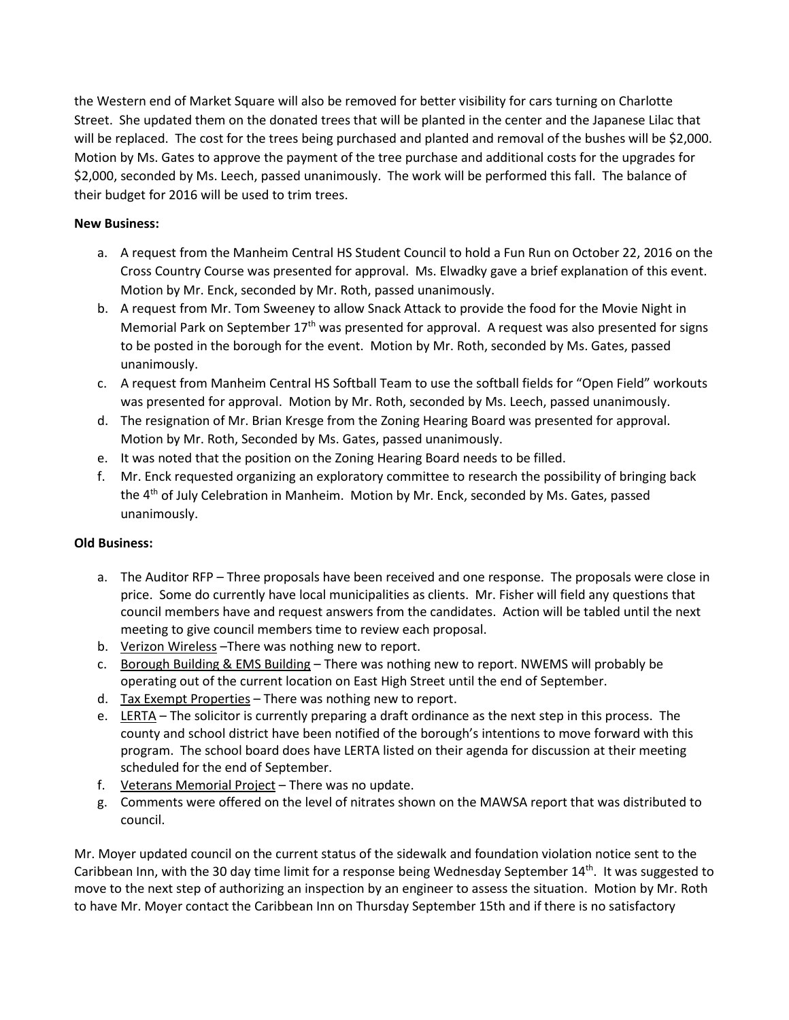the Western end of Market Square will also be removed for better visibility for cars turning on Charlotte Street. She updated them on the donated trees that will be planted in the center and the Japanese Lilac that will be replaced. The cost for the trees being purchased and planted and removal of the bushes will be \$2,000. Motion by Ms. Gates to approve the payment of the tree purchase and additional costs for the upgrades for \$2,000, seconded by Ms. Leech, passed unanimously. The work will be performed this fall. The balance of their budget for 2016 will be used to trim trees.

# **New Business:**

- a. A request from the Manheim Central HS Student Council to hold a Fun Run on October 22, 2016 on the Cross Country Course was presented for approval. Ms. Elwadky gave a brief explanation of this event. Motion by Mr. Enck, seconded by Mr. Roth, passed unanimously.
- b. A request from Mr. Tom Sweeney to allow Snack Attack to provide the food for the Movie Night in Memorial Park on September  $17<sup>th</sup>$  was presented for approval. A request was also presented for signs to be posted in the borough for the event. Motion by Mr. Roth, seconded by Ms. Gates, passed unanimously.
- c. A request from Manheim Central HS Softball Team to use the softball fields for "Open Field" workouts was presented for approval. Motion by Mr. Roth, seconded by Ms. Leech, passed unanimously.
- d. The resignation of Mr. Brian Kresge from the Zoning Hearing Board was presented for approval. Motion by Mr. Roth, Seconded by Ms. Gates, passed unanimously.
- e. It was noted that the position on the Zoning Hearing Board needs to be filled.
- f. Mr. Enck requested organizing an exploratory committee to research the possibility of bringing back the 4<sup>th</sup> of July Celebration in Manheim. Motion by Mr. Enck, seconded by Ms. Gates, passed unanimously.

# **Old Business:**

- a. The Auditor RFP Three proposals have been received and one response. The proposals were close in price. Some do currently have local municipalities as clients. Mr. Fisher will field any questions that council members have and request answers from the candidates. Action will be tabled until the next meeting to give council members time to review each proposal.
- b. Verizon Wireless –There was nothing new to report.
- c. Borough Building & EMS Building There was nothing new to report. NWEMS will probably be operating out of the current location on East High Street until the end of September.
- d. Tax Exempt Properties There was nothing new to report.
- e. LERTA The solicitor is currently preparing a draft ordinance as the next step in this process. The county and school district have been notified of the borough's intentions to move forward with this program. The school board does have LERTA listed on their agenda for discussion at their meeting scheduled for the end of September.
- f. Veterans Memorial Project There was no update.
- g. Comments were offered on the level of nitrates shown on the MAWSA report that was distributed to council.

Mr. Moyer updated council on the current status of the sidewalk and foundation violation notice sent to the Caribbean Inn, with the 30 day time limit for a response being Wednesday September 14<sup>th</sup>. It was suggested to move to the next step of authorizing an inspection by an engineer to assess the situation. Motion by Mr. Roth to have Mr. Moyer contact the Caribbean Inn on Thursday September 15th and if there is no satisfactory